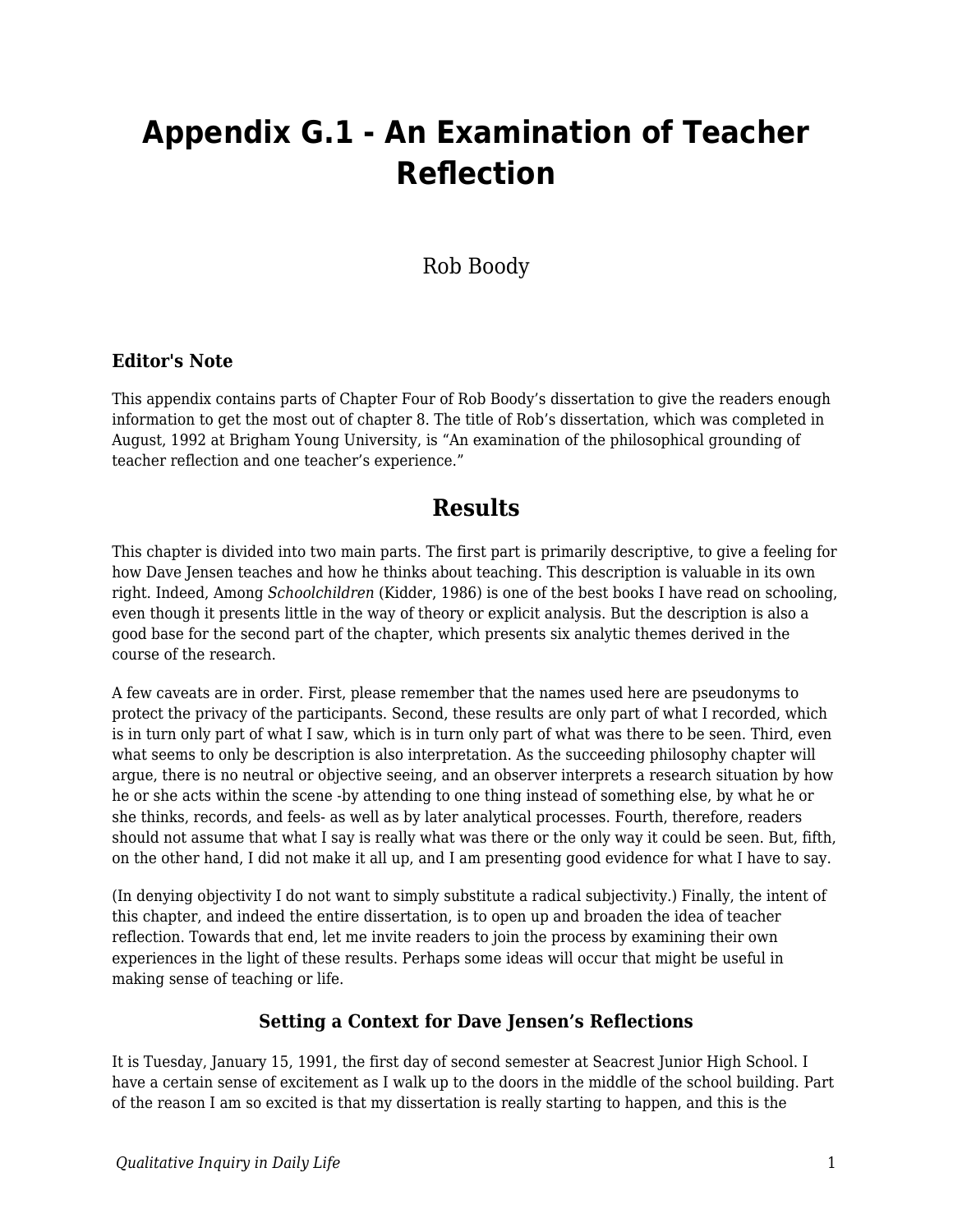# **Appendix G.1 - An Examination of Teacher Reflection**

## Rob Boody

#### **Editor's Note**

This appendix contains parts of Chapter Four of Rob Boody's dissertation to give the readers enough information to get the most out of chapter 8. The title of Rob's dissertation, which was completed in August, 1992 at Brigham Young University, is "An examination of the philosophical grounding of teacher reflection and one teacher's experience."

### **Results**

This chapter is divided into two main parts. The first part is primarily descriptive, to give a feeling for how Dave Jensen teaches and how he thinks about teaching. This description is valuable in its own right. Indeed, Among *Schoolchildren* (Kidder, 1986) is one of the best books I have read on schooling, even though it presents little in the way of theory or explicit analysis. But the description is also a good base for the second part of the chapter, which presents six analytic themes derived in the course of the research.

A few caveats are in order. First, please remember that the names used here are pseudonyms to protect the privacy of the participants. Second, these results are only part of what I recorded, which is in turn only part of what I saw, which is in turn only part of what was there to be seen. Third, even what seems to only be description is also interpretation. As the succeeding philosophy chapter will argue, there is no neutral or objective seeing, and an observer interprets a research situation by how he or she acts within the scene -by attending to one thing instead of something else, by what he or she thinks, records, and feels- as well as by later analytical processes. Fourth, therefore, readers should not assume that what I say is really what was there or the only way it could be seen. But, fifth, on the other hand, I did not make it all up, and I am presenting good evidence for what I have to say.

(In denying objectivity I do not want to simply substitute a radical subjectivity.) Finally, the intent of this chapter, and indeed the entire dissertation, is to open up and broaden the idea of teacher reflection. Towards that end, let me invite readers to join the process by examining their own experiences in the light of these results. Perhaps some ideas will occur that might be useful in making sense of teaching or life.

#### **Setting a Context for Dave Jensen's Reflections**

It is Tuesday, January 15, 1991, the first day of second semester at Seacrest Junior High School. I have a certain sense of excitement as I walk up to the doors in the middle of the school building. Part of the reason I am so excited is that my dissertation is really starting to happen, and this is the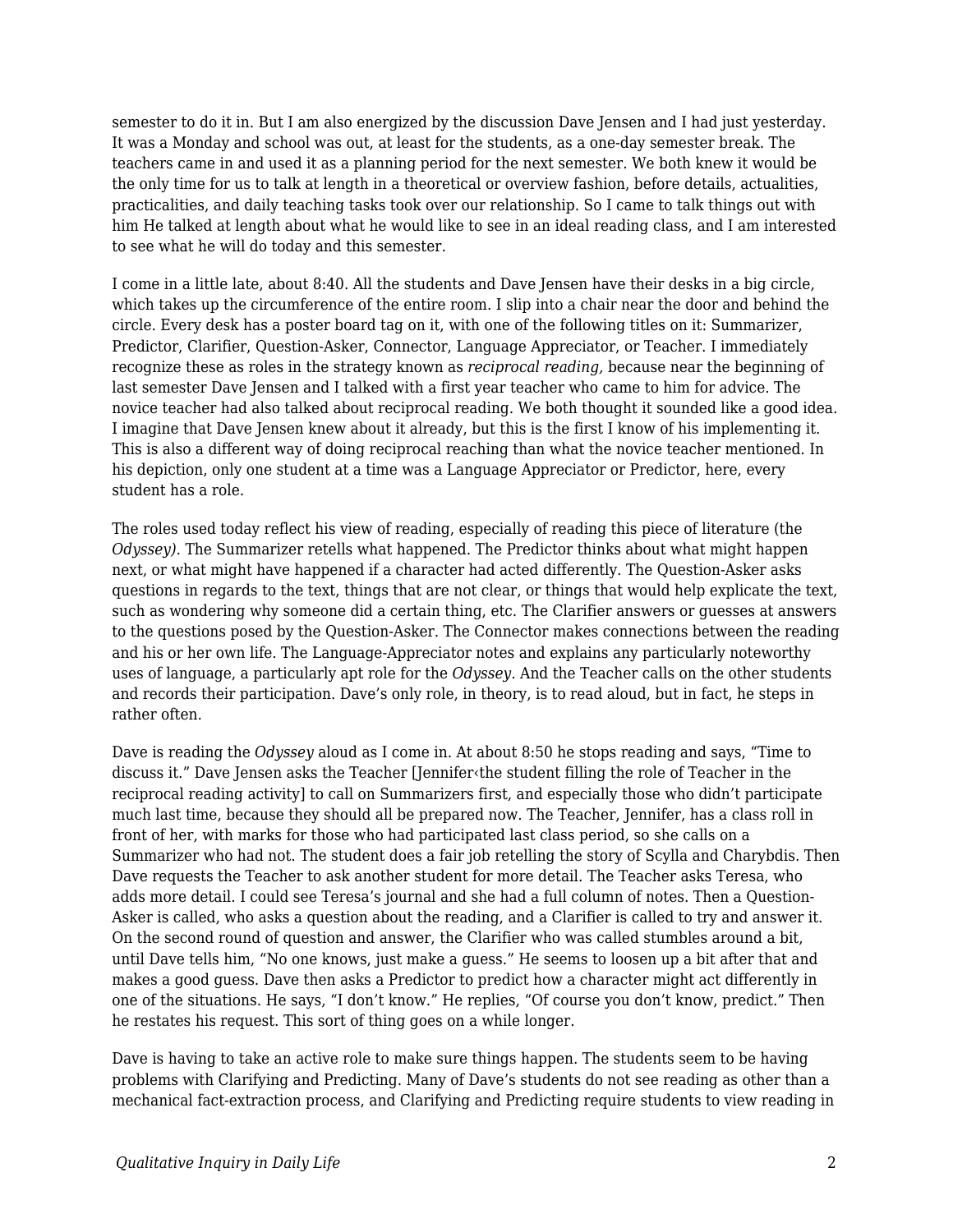semester to do it in. But I am also energized by the discussion Dave Jensen and I had just yesterday. It was a Monday and school was out, at least for the students, as a one-day semester break. The teachers came in and used it as a planning period for the next semester. We both knew it would be the only time for us to talk at length in a theoretical or overview fashion, before details, actualities, practicalities, and daily teaching tasks took over our relationship. So I came to talk things out with him He talked at length about what he would like to see in an ideal reading class, and I am interested to see what he will do today and this semester.

I come in a little late, about 8:40. All the students and Dave Jensen have their desks in a big circle, which takes up the circumference of the entire room. I slip into a chair near the door and behind the circle. Every desk has a poster board tag on it, with one of the following titles on it: Summarizer, Predictor, Clarifier, Question-Asker, Connector, Language Appreciator, or Teacher. I immediately recognize these as roles in the strategy known as *reciprocal reading,* because near the beginning of last semester Dave Jensen and I talked with a first year teacher who came to him for advice. The novice teacher had also talked about reciprocal reading. We both thought it sounded like a good idea. I imagine that Dave Jensen knew about it already, but this is the first I know of his implementing it. This is also a different way of doing reciprocal reaching than what the novice teacher mentioned. In his depiction, only one student at a time was a Language Appreciator or Predictor, here, every student has a role.

The roles used today reflect his view of reading, especially of reading this piece of literature (the *Odyssey).* The Summarizer retells what happened. The Predictor thinks about what might happen next, or what might have happened if a character had acted differently. The Question-Asker asks questions in regards to the text, things that are not clear, or things that would help explicate the text, such as wondering why someone did a certain thing, etc. The Clarifier answers or guesses at answers to the questions posed by the Question-Asker. The Connector makes connections between the reading and his or her own life. The Language-Appreciator notes and explains any particularly noteworthy uses of language, a particularly apt role for the *Odyssey.* And the Teacher calls on the other students and records their participation. Dave's only role, in theory, is to read aloud, but in fact, he steps in rather often.

Dave is reading the *Odyssey* aloud as I come in. At about 8:50 he stops reading and says, "Time to discuss it." Dave Jensen asks the Teacher [Jennifer‹the student filling the role of Teacher in the reciprocal reading activity] to call on Summarizers first, and especially those who didn't participate much last time, because they should all be prepared now. The Teacher, Jennifer, has a class roll in front of her, with marks for those who had participated last class period, so she calls on a Summarizer who had not. The student does a fair job retelling the story of Scylla and Charybdis. Then Dave requests the Teacher to ask another student for more detail. The Teacher asks Teresa, who adds more detail. I could see Teresa's journal and she had a full column of notes. Then a Question-Asker is called, who asks a question about the reading, and a Clarifier is called to try and answer it. On the second round of question and answer, the Clarifier who was called stumbles around a bit, until Dave tells him, "No one knows, just make a guess." He seems to loosen up a bit after that and makes a good guess. Dave then asks a Predictor to predict how a character might act differently in one of the situations. He says, "I don't know." He replies, "Of course you don't know, predict." Then he restates his request. This sort of thing goes on a while longer.

Dave is having to take an active role to make sure things happen. The students seem to be having problems with Clarifying and Predicting. Many of Dave's students do not see reading as other than a mechanical fact-extraction process, and Clarifying and Predicting require students to view reading in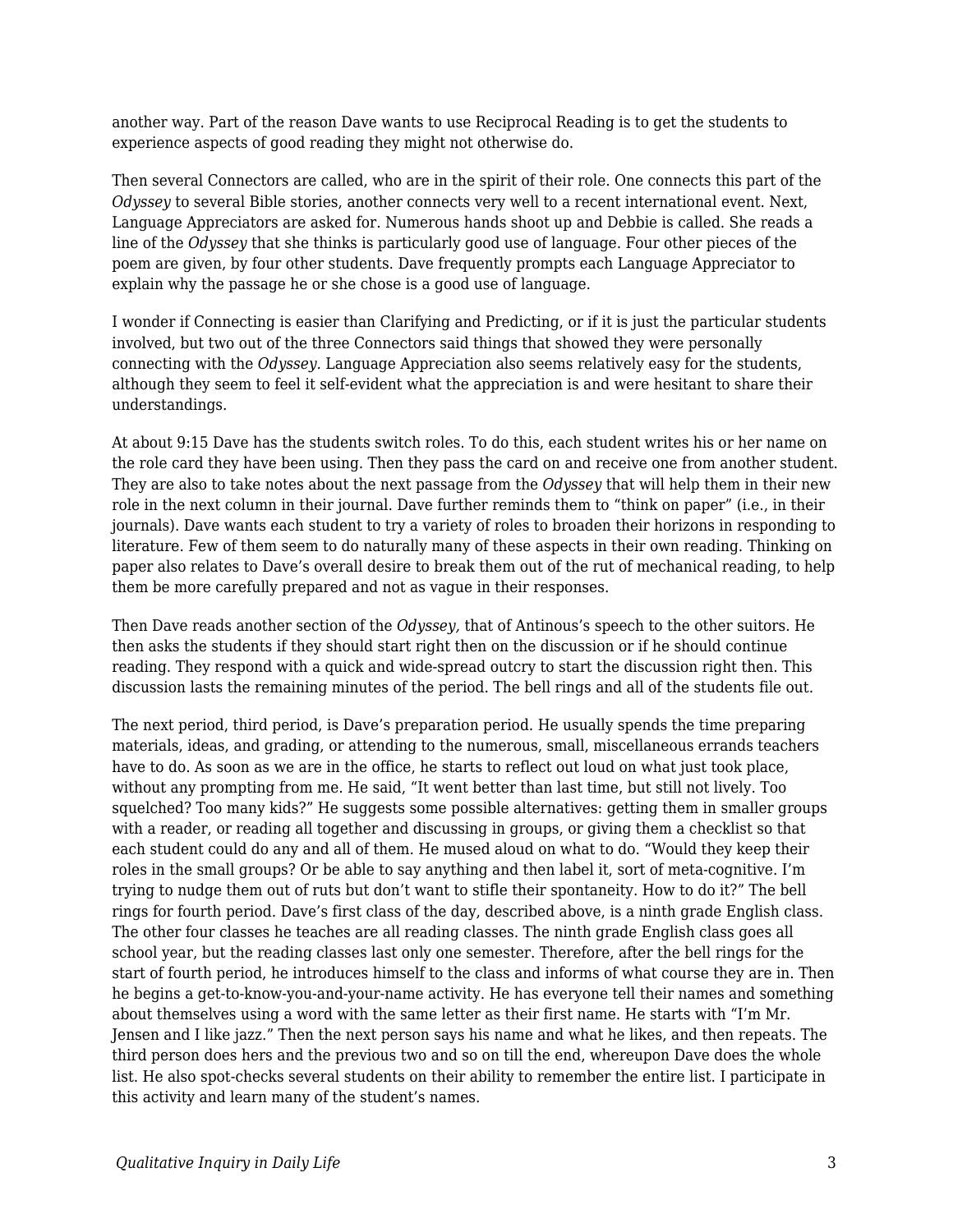another way. Part of the reason Dave wants to use Reciprocal Reading is to get the students to experience aspects of good reading they might not otherwise do.

Then several Connectors are called, who are in the spirit of their role. One connects this part of the *Odyssey* to several Bible stories, another connects very well to a recent international event. Next, Language Appreciators are asked for. Numerous hands shoot up and Debbie is called. She reads a line of the *Odyssey* that she thinks is particularly good use of language. Four other pieces of the poem are given, by four other students. Dave frequently prompts each Language Appreciator to explain why the passage he or she chose is a good use of language.

I wonder if Connecting is easier than Clarifying and Predicting, or if it is just the particular students involved, but two out of the three Connectors said things that showed they were personally connecting with the *Odyssey.* Language Appreciation also seems relatively easy for the students, although they seem to feel it self-evident what the appreciation is and were hesitant to share their understandings.

At about 9:15 Dave has the students switch roles. To do this, each student writes his or her name on the role card they have been using. Then they pass the card on and receive one from another student. They are also to take notes about the next passage from the *Odyssey* that will help them in their new role in the next column in their journal. Dave further reminds them to "think on paper" (i.e., in their journals). Dave wants each student to try a variety of roles to broaden their horizons in responding to literature. Few of them seem to do naturally many of these aspects in their own reading. Thinking on paper also relates to Dave's overall desire to break them out of the rut of mechanical reading, to help them be more carefully prepared and not as vague in their responses.

Then Dave reads another section of the *Odyssey,* that of Antinous's speech to the other suitors. He then asks the students if they should start right then on the discussion or if he should continue reading. They respond with a quick and wide-spread outcry to start the discussion right then. This discussion lasts the remaining minutes of the period. The bell rings and all of the students file out.

The next period, third period, is Dave's preparation period. He usually spends the time preparing materials, ideas, and grading, or attending to the numerous, small, miscellaneous errands teachers have to do. As soon as we are in the office, he starts to reflect out loud on what just took place, without any prompting from me. He said, "It went better than last time, but still not lively. Too squelched? Too many kids?" He suggests some possible alternatives: getting them in smaller groups with a reader, or reading all together and discussing in groups, or giving them a checklist so that each student could do any and all of them. He mused aloud on what to do. "Would they keep their roles in the small groups? Or be able to say anything and then label it, sort of meta-cognitive. I'm trying to nudge them out of ruts but don't want to stifle their spontaneity. How to do it?" The bell rings for fourth period. Dave's first class of the day, described above, is a ninth grade English class. The other four classes he teaches are all reading classes. The ninth grade English class goes all school year, but the reading classes last only one semester. Therefore, after the bell rings for the start of fourth period, he introduces himself to the class and informs of what course they are in. Then he begins a get-to-know-you-and-your-name activity. He has everyone tell their names and something about themselves using a word with the same letter as their first name. He starts with "I'm Mr. Jensen and I like jazz." Then the next person says his name and what he likes, and then repeats. The third person does hers and the previous two and so on till the end, whereupon Dave does the whole list. He also spot-checks several students on their ability to remember the entire list. I participate in this activity and learn many of the student's names.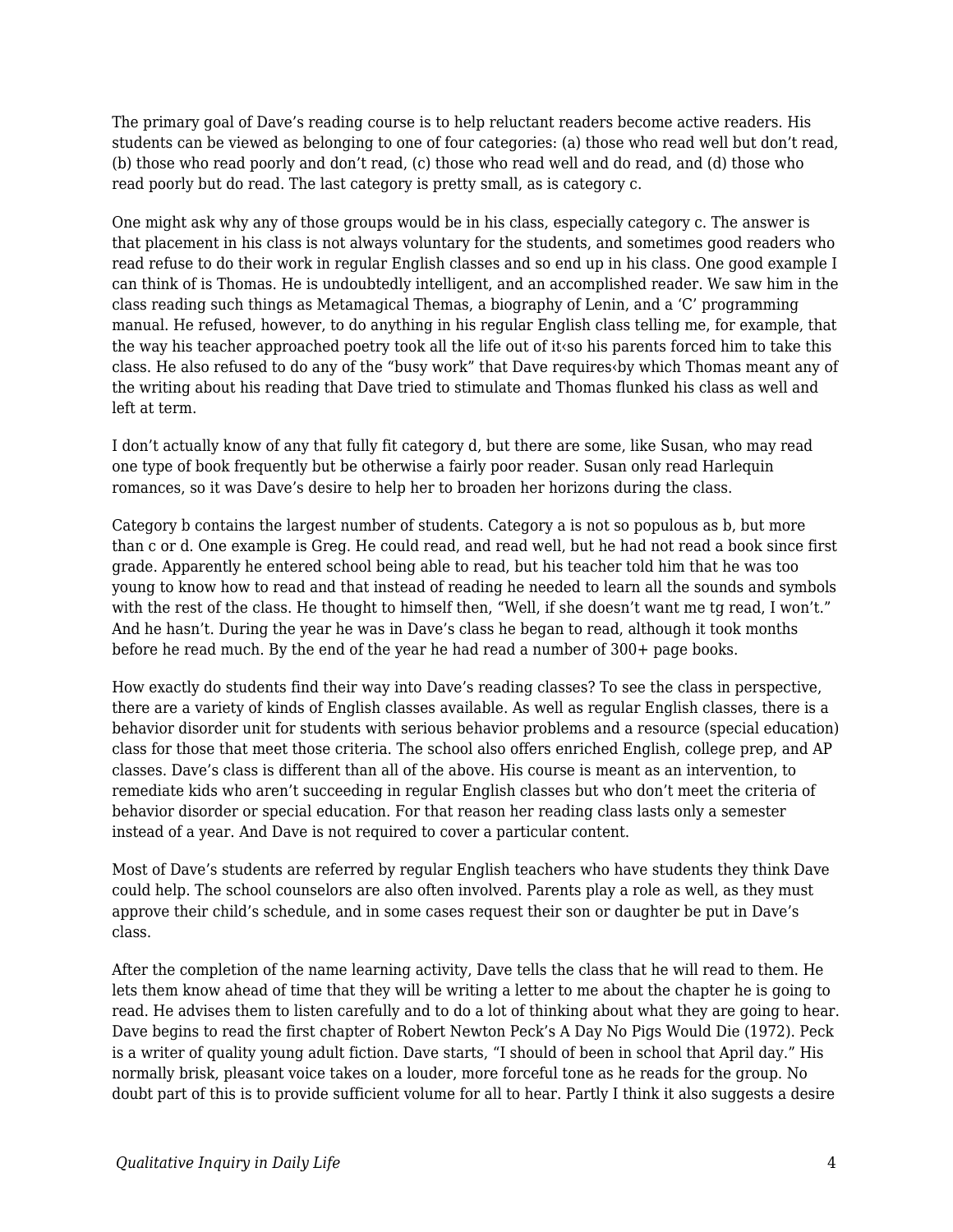The primary goal of Dave's reading course is to help reluctant readers become active readers. His students can be viewed as belonging to one of four categories: (a) those who read well but don't read, (b) those who read poorly and don't read, (c) those who read well and do read, and (d) those who read poorly but do read. The last category is pretty small, as is category c.

One might ask why any of those groups would be in his class, especially category c. The answer is that placement in his class is not always voluntary for the students, and sometimes good readers who read refuse to do their work in regular English classes and so end up in his class. One good example I can think of is Thomas. He is undoubtedly intelligent, and an accomplished reader. We saw him in the class reading such things as Metamagical Themas, a biography of Lenin, and a 'C' programming manual. He refused, however, to do anything in his regular English class telling me, for example, that the way his teacher approached poetry took all the life out of it‹so his parents forced him to take this class. He also refused to do any of the "busy work" that Dave requires‹by which Thomas meant any of the writing about his reading that Dave tried to stimulate and Thomas flunked his class as well and left at term.

I don't actually know of any that fully fit category d, but there are some, like Susan, who may read one type of book frequently but be otherwise a fairly poor reader. Susan only read Harlequin romances, so it was Dave's desire to help her to broaden her horizons during the class.

Category b contains the largest number of students. Category a is not so populous as b, but more than c or d. One example is Greg. He could read, and read well, but he had not read a book since first grade. Apparently he entered school being able to read, but his teacher told him that he was too young to know how to read and that instead of reading he needed to learn all the sounds and symbols with the rest of the class. He thought to himself then, "Well, if she doesn't want me tg read, I won't." And he hasn't. During the year he was in Dave's class he began to read, although it took months before he read much. By the end of the year he had read a number of 300+ page books.

How exactly do students find their way into Dave's reading classes? To see the class in perspective, there are a variety of kinds of English classes available. As well as regular English classes, there is a behavior disorder unit for students with serious behavior problems and a resource (special education) class for those that meet those criteria. The school also offers enriched English, college prep, and AP classes. Dave's class is different than all of the above. His course is meant as an intervention, to remediate kids who aren't succeeding in regular English classes but who don't meet the criteria of behavior disorder or special education. For that reason her reading class lasts only a semester instead of a year. And Dave is not required to cover a particular content.

Most of Dave's students are referred by regular English teachers who have students they think Dave could help. The school counselors are also often involved. Parents play a role as well, as they must approve their child's schedule, and in some cases request their son or daughter be put in Dave's class.

After the completion of the name learning activity, Dave tells the class that he will read to them. He lets them know ahead of time that they will be writing a letter to me about the chapter he is going to read. He advises them to listen carefully and to do a lot of thinking about what they are going to hear. Dave begins to read the first chapter of Robert Newton Peck's A Day No Pigs Would Die (1972). Peck is a writer of quality young adult fiction. Dave starts, "I should of been in school that April day." His normally brisk, pleasant voice takes on a louder, more forceful tone as he reads for the group. No doubt part of this is to provide sufficient volume for all to hear. Partly I think it also suggests a desire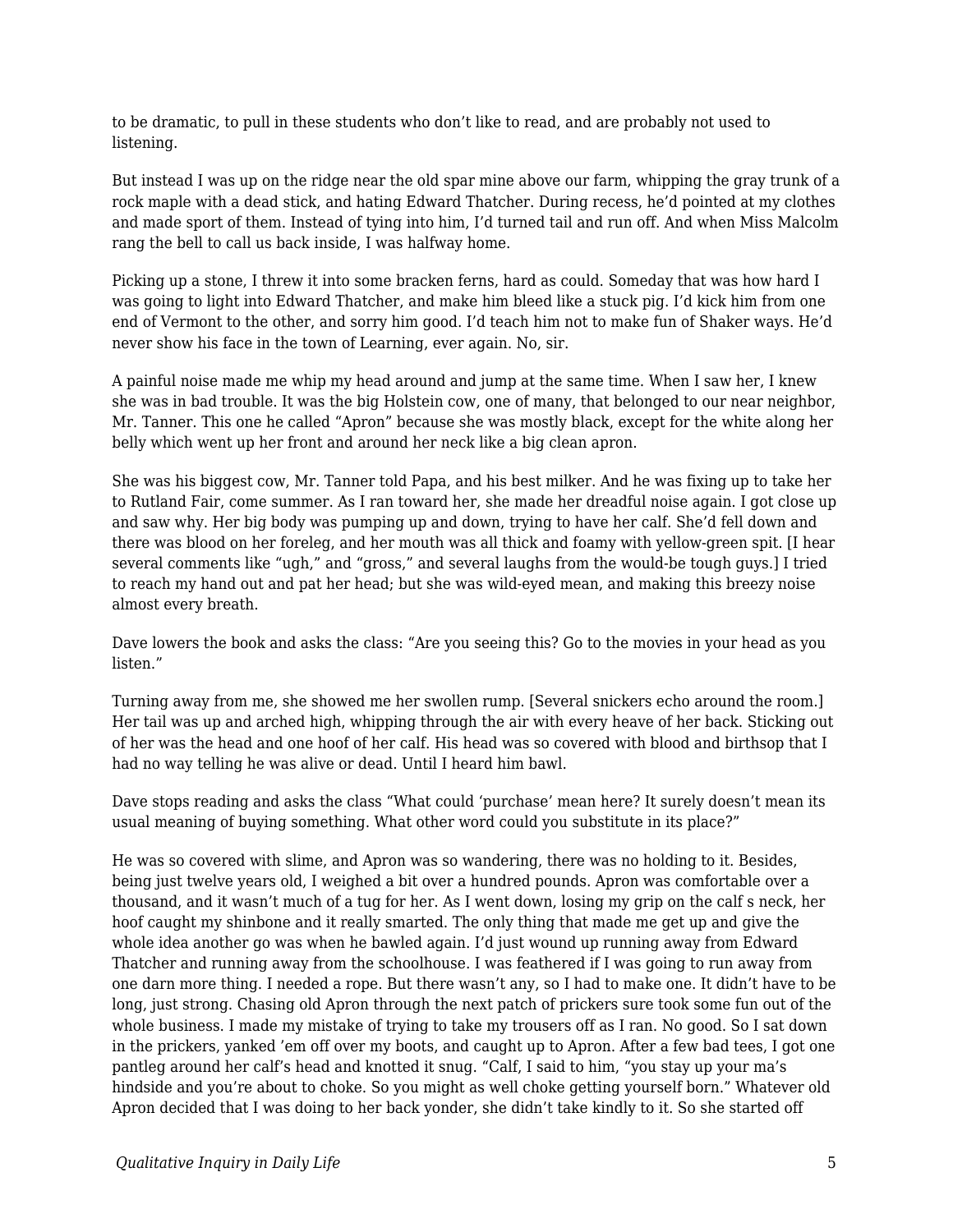to be dramatic, to pull in these students who don't like to read, and are probably not used to listening.

But instead I was up on the ridge near the old spar mine above our farm, whipping the gray trunk of a rock maple with a dead stick, and hating Edward Thatcher. During recess, he'd pointed at my clothes and made sport of them. Instead of tying into him, I'd turned tail and run off. And when Miss Malcolm rang the bell to call us back inside, I was halfway home.

Picking up a stone, I threw it into some bracken ferns, hard as could. Someday that was how hard I was going to light into Edward Thatcher, and make him bleed like a stuck pig. I'd kick him from one end of Vermont to the other, and sorry him good. I'd teach him not to make fun of Shaker ways. He'd never show his face in the town of Learning, ever again. No, sir.

A painful noise made me whip my head around and jump at the same time. When I saw her, I knew she was in bad trouble. It was the big Holstein cow, one of many, that belonged to our near neighbor, Mr. Tanner. This one he called "Apron" because she was mostly black, except for the white along her belly which went up her front and around her neck like a big clean apron.

She was his biggest cow, Mr. Tanner told Papa, and his best milker. And he was fixing up to take her to Rutland Fair, come summer. As I ran toward her, she made her dreadful noise again. I got close up and saw why. Her big body was pumping up and down, trying to have her calf. She'd fell down and there was blood on her foreleg, and her mouth was all thick and foamy with yellow-green spit. [I hear several comments like "ugh," and "gross," and several laughs from the would-be tough guys.] I tried to reach my hand out and pat her head; but she was wild-eyed mean, and making this breezy noise almost every breath.

Dave lowers the book and asks the class: "Are you seeing this? Go to the movies in your head as you listen."

Turning away from me, she showed me her swollen rump. [Several snickers echo around the room.] Her tail was up and arched high, whipping through the air with every heave of her back. Sticking out of her was the head and one hoof of her calf. His head was so covered with blood and birthsop that I had no way telling he was alive or dead. Until I heard him bawl.

Dave stops reading and asks the class "What could 'purchase' mean here? It surely doesn't mean its usual meaning of buying something. What other word could you substitute in its place?"

He was so covered with slime, and Apron was so wandering, there was no holding to it. Besides, being just twelve years old, I weighed a bit over a hundred pounds. Apron was comfortable over a thousand, and it wasn't much of a tug for her. As I went down, losing my grip on the calf s neck, her hoof caught my shinbone and it really smarted. The only thing that made me get up and give the whole idea another go was when he bawled again. I'd just wound up running away from Edward Thatcher and running away from the schoolhouse. I was feathered if I was going to run away from one darn more thing. I needed a rope. But there wasn't any, so I had to make one. It didn't have to be long, just strong. Chasing old Apron through the next patch of prickers sure took some fun out of the whole business. I made my mistake of trying to take my trousers off as I ran. No good. So I sat down in the prickers, yanked 'em off over my boots, and caught up to Apron. After a few bad tees, I got one pantleg around her calf's head and knotted it snug. "Calf, I said to him, "you stay up your ma's hindside and you're about to choke. So you might as well choke getting yourself born." Whatever old Apron decided that I was doing to her back yonder, she didn't take kindly to it. So she started off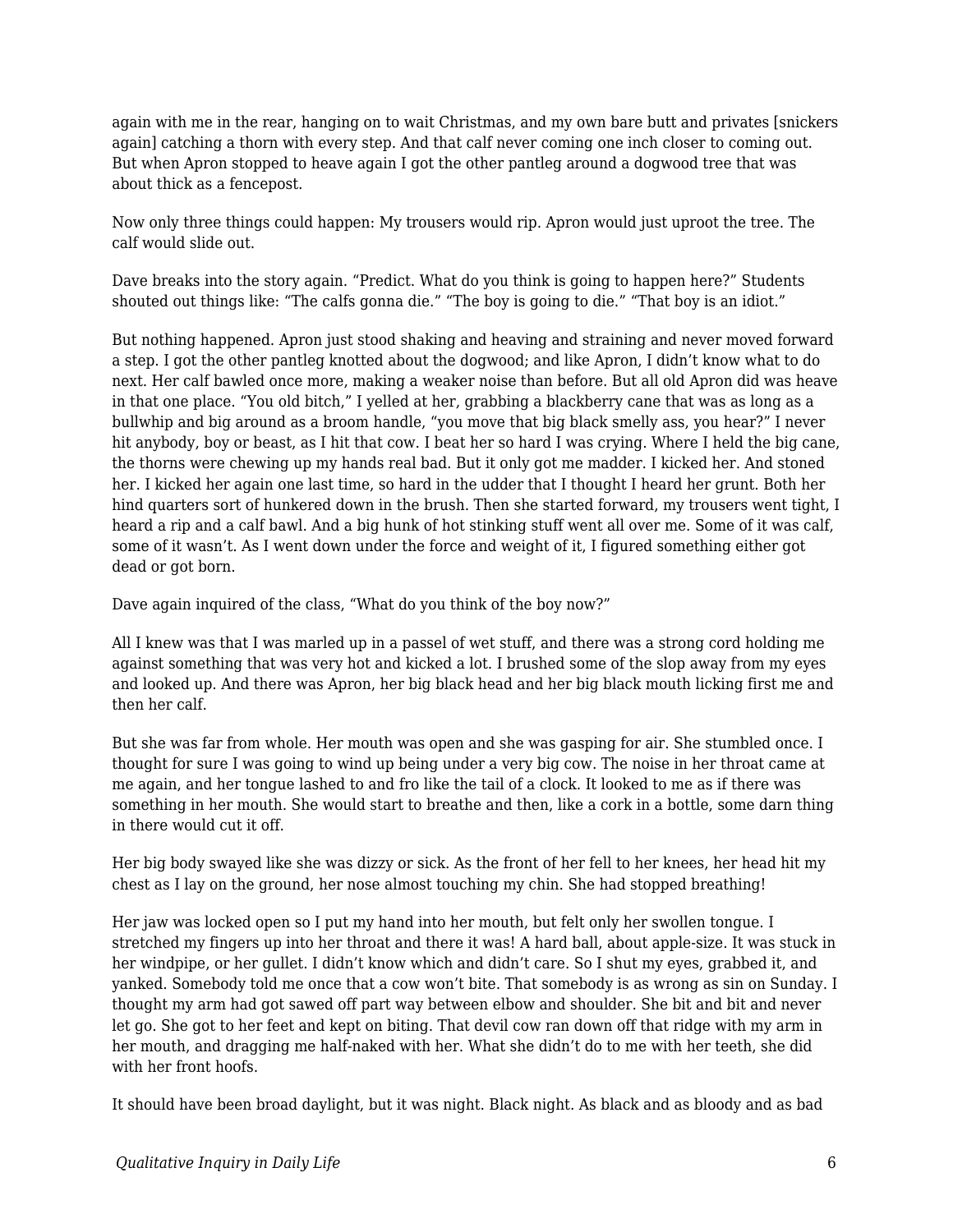again with me in the rear, hanging on to wait Christmas, and my own bare butt and privates [snickers again] catching a thorn with every step. And that calf never coming one inch closer to coming out. But when Apron stopped to heave again I got the other pantleg around a dogwood tree that was about thick as a fencepost.

Now only three things could happen: My trousers would rip. Apron would just uproot the tree. The calf would slide out.

Dave breaks into the story again. "Predict. What do you think is going to happen here?" Students shouted out things like: "The calfs gonna die." "The boy is going to die." "That boy is an idiot."

But nothing happened. Apron just stood shaking and heaving and straining and never moved forward a step. I got the other pantleg knotted about the dogwood; and like Apron, I didn't know what to do next. Her calf bawled once more, making a weaker noise than before. But all old Apron did was heave in that one place. "You old bitch," I yelled at her, grabbing a blackberry cane that was as long as a bullwhip and big around as a broom handle, "you move that big black smelly ass, you hear?" I never hit anybody, boy or beast, as I hit that cow. I beat her so hard I was crying. Where I held the big cane, the thorns were chewing up my hands real bad. But it only got me madder. I kicked her. And stoned her. I kicked her again one last time, so hard in the udder that I thought I heard her grunt. Both her hind quarters sort of hunkered down in the brush. Then she started forward, my trousers went tight, I heard a rip and a calf bawl. And a big hunk of hot stinking stuff went all over me. Some of it was calf, some of it wasn't. As I went down under the force and weight of it, I figured something either got dead or got born.

Dave again inquired of the class, "What do you think of the boy now?"

All I knew was that I was marled up in a passel of wet stuff, and there was a strong cord holding me against something that was very hot and kicked a lot. I brushed some of the slop away from my eyes and looked up. And there was Apron, her big black head and her big black mouth licking first me and then her calf.

But she was far from whole. Her mouth was open and she was gasping for air. She stumbled once. I thought for sure I was going to wind up being under a very big cow. The noise in her throat came at me again, and her tongue lashed to and fro like the tail of a clock. It looked to me as if there was something in her mouth. She would start to breathe and then, like a cork in a bottle, some darn thing in there would cut it off.

Her big body swayed like she was dizzy or sick. As the front of her fell to her knees, her head hit my chest as I lay on the ground, her nose almost touching my chin. She had stopped breathing!

Her jaw was locked open so I put my hand into her mouth, but felt only her swollen tongue. I stretched my fingers up into her throat and there it was! A hard ball, about apple-size. It was stuck in her windpipe, or her gullet. I didn't know which and didn't care. So I shut my eyes, grabbed it, and yanked. Somebody told me once that a cow won't bite. That somebody is as wrong as sin on Sunday. I thought my arm had got sawed off part way between elbow and shoulder. She bit and bit and never let go. She got to her feet and kept on biting. That devil cow ran down off that ridge with my arm in her mouth, and dragging me half-naked with her. What she didn't do to me with her teeth, she did with her front hoofs.

It should have been broad daylight, but it was night. Black night. As black and as bloody and as bad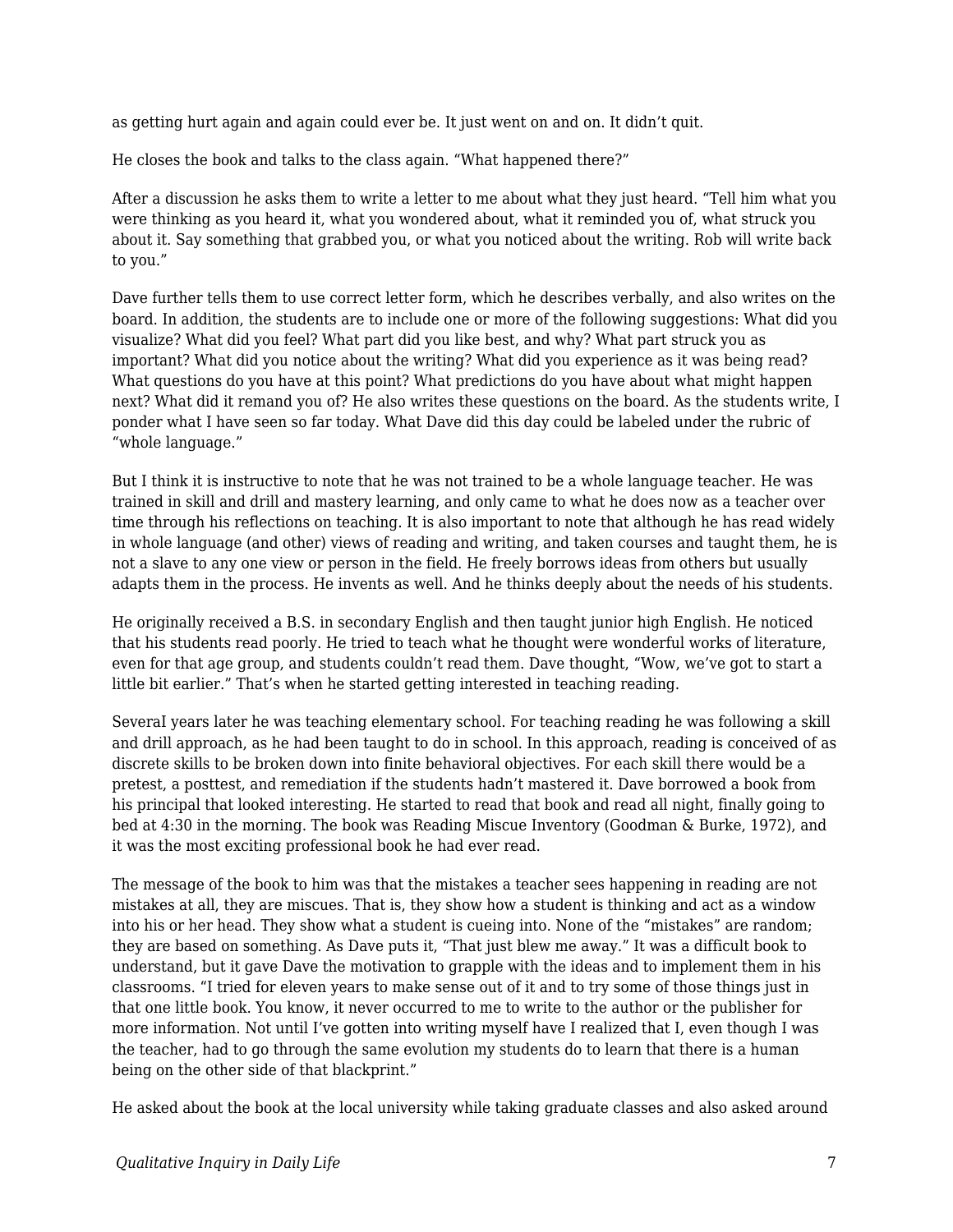as getting hurt again and again could ever be. It just went on and on. It didn't quit.

He closes the book and talks to the class again. "What happened there?"

After a discussion he asks them to write a letter to me about what they just heard. "Tell him what you were thinking as you heard it, what you wondered about, what it reminded you of, what struck you about it. Say something that grabbed you, or what you noticed about the writing. Rob will write back to you."

Dave further tells them to use correct letter form, which he describes verbally, and also writes on the board. In addition, the students are to include one or more of the following suggestions: What did you visualize? What did you feel? What part did you like best, and why? What part struck you as important? What did you notice about the writing? What did you experience as it was being read? What questions do you have at this point? What predictions do you have about what might happen next? What did it remand you of? He also writes these questions on the board. As the students write, I ponder what I have seen so far today. What Dave did this day could be labeled under the rubric of "whole language."

But I think it is instructive to note that he was not trained to be a whole language teacher. He was trained in skill and drill and mastery learning, and only came to what he does now as a teacher over time through his reflections on teaching. It is also important to note that although he has read widely in whole language (and other) views of reading and writing, and taken courses and taught them, he is not a slave to any one view or person in the field. He freely borrows ideas from others but usually adapts them in the process. He invents as well. And he thinks deeply about the needs of his students.

He originally received a B.S. in secondary English and then taught junior high English. He noticed that his students read poorly. He tried to teach what he thought were wonderful works of literature, even for that age group, and students couldn't read them. Dave thought, "Wow, we've got to start a little bit earlier." That's when he started getting interested in teaching reading.

SeveraI years later he was teaching elementary school. For teaching reading he was following a skill and drill approach, as he had been taught to do in school. In this approach, reading is conceived of as discrete skills to be broken down into finite behavioral objectives. For each skill there would be a pretest, a posttest, and remediation if the students hadn't mastered it. Dave borrowed a book from his principal that looked interesting. He started to read that book and read all night, finally going to bed at 4:30 in the morning. The book was Reading Miscue Inventory (Goodman & Burke, 1972), and it was the most exciting professional book he had ever read.

The message of the book to him was that the mistakes a teacher sees happening in reading are not mistakes at all, they are miscues. That is, they show how a student is thinking and act as a window into his or her head. They show what a student is cueing into. None of the "mistakes" are random; they are based on something. As Dave puts it, "That just blew me away." It was a difficult book to understand, but it gave Dave the motivation to grapple with the ideas and to implement them in his classrooms. "I tried for eleven years to make sense out of it and to try some of those things just in that one little book. You know, it never occurred to me to write to the author or the publisher for more information. Not until I've gotten into writing myself have I realized that I, even though I was the teacher, had to go through the same evolution my students do to learn that there is a human being on the other side of that blackprint."

He asked about the book at the local university while taking graduate classes and also asked around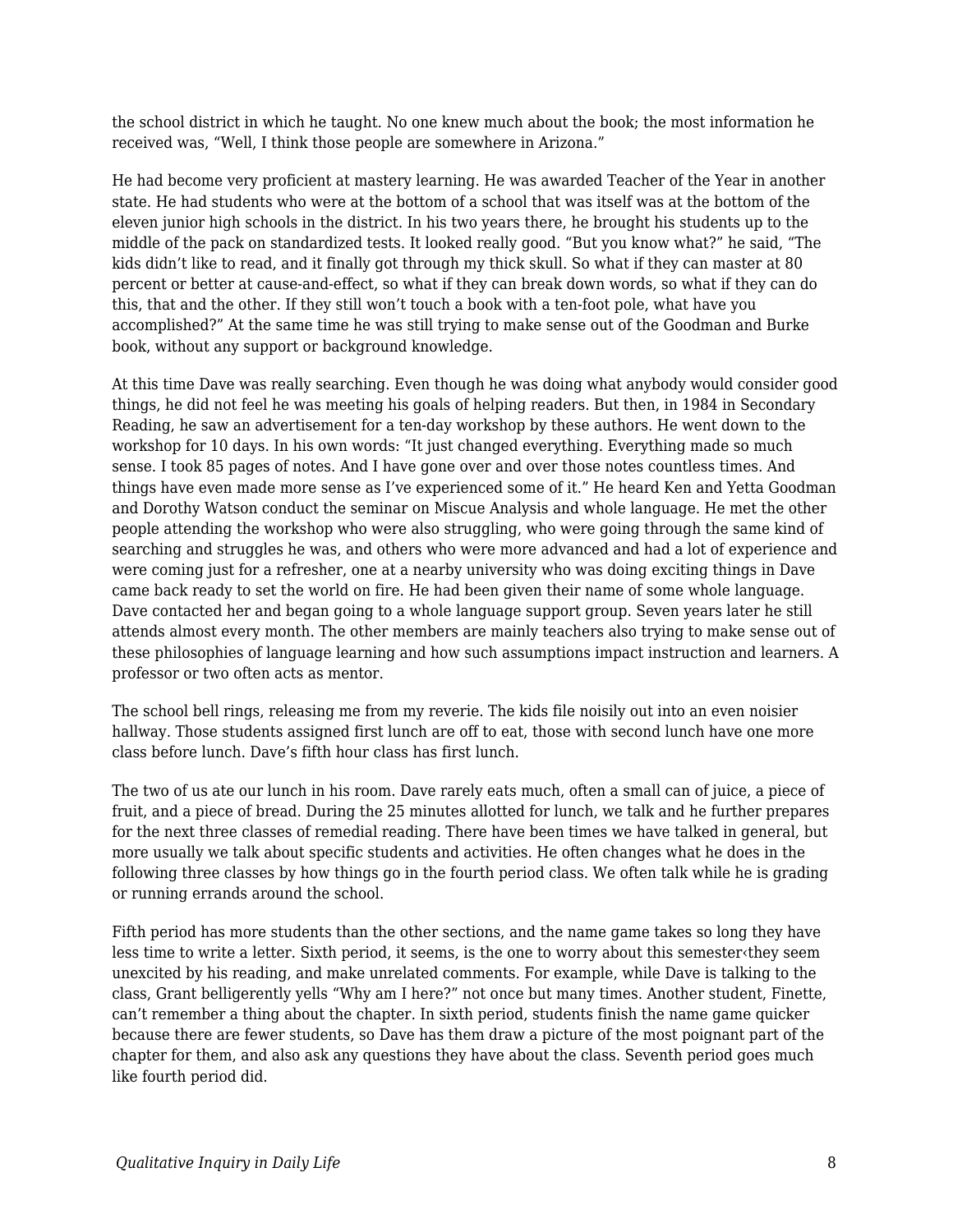the school district in which he taught. No one knew much about the book; the most information he received was, "Well, I think those people are somewhere in Arizona."

He had become very proficient at mastery learning. He was awarded Teacher of the Year in another state. He had students who were at the bottom of a school that was itself was at the bottom of the eleven junior high schools in the district. In his two years there, he brought his students up to the middle of the pack on standardized tests. It looked really good. "But you know what?" he said, "The kids didn't like to read, and it finally got through my thick skull. So what if they can master at 80 percent or better at cause-and-effect, so what if they can break down words, so what if they can do this, that and the other. If they still won't touch a book with a ten-foot pole, what have you accomplished?" At the same time he was still trying to make sense out of the Goodman and Burke book, without any support or background knowledge.

At this time Dave was really searching. Even though he was doing what anybody would consider good things, he did not feel he was meeting his goals of helping readers. But then, in 1984 in Secondary Reading, he saw an advertisement for a ten-day workshop by these authors. He went down to the workshop for 10 days. In his own words: "It just changed everything. Everything made so much sense. I took 85 pages of notes. And I have gone over and over those notes countless times. And things have even made more sense as I've experienced some of it." He heard Ken and Yetta Goodman and Dorothy Watson conduct the seminar on Miscue Analysis and whole language. He met the other people attending the workshop who were also struggling, who were going through the same kind of searching and struggles he was, and others who were more advanced and had a lot of experience and were coming just for a refresher, one at a nearby university who was doing exciting things in Dave came back ready to set the world on fire. He had been given their name of some whole language. Dave contacted her and began going to a whole language support group. Seven years later he still attends almost every month. The other members are mainly teachers also trying to make sense out of these philosophies of language learning and how such assumptions impact instruction and learners. A professor or two often acts as mentor.

The school bell rings, releasing me from my reverie. The kids file noisily out into an even noisier hallway. Those students assigned first lunch are off to eat, those with second lunch have one more class before lunch. Dave's fifth hour class has first lunch.

The two of us ate our lunch in his room. Dave rarely eats much, often a small can of juice, a piece of fruit, and a piece of bread. During the 25 minutes allotted for lunch, we talk and he further prepares for the next three classes of remedial reading. There have been times we have talked in general, but more usually we talk about specific students and activities. He often changes what he does in the following three classes by how things go in the fourth period class. We often talk while he is grading or running errands around the school.

Fifth period has more students than the other sections, and the name game takes so long they have less time to write a letter. Sixth period, it seems, is the one to worry about this semester they seem unexcited by his reading, and make unrelated comments. For example, while Dave is talking to the class, Grant belligerently yells "Why am I here?" not once but many times. Another student, Finette, can't remember a thing about the chapter. In sixth period, students finish the name game quicker because there are fewer students, so Dave has them draw a picture of the most poignant part of the chapter for them, and also ask any questions they have about the class. Seventh period goes much like fourth period did.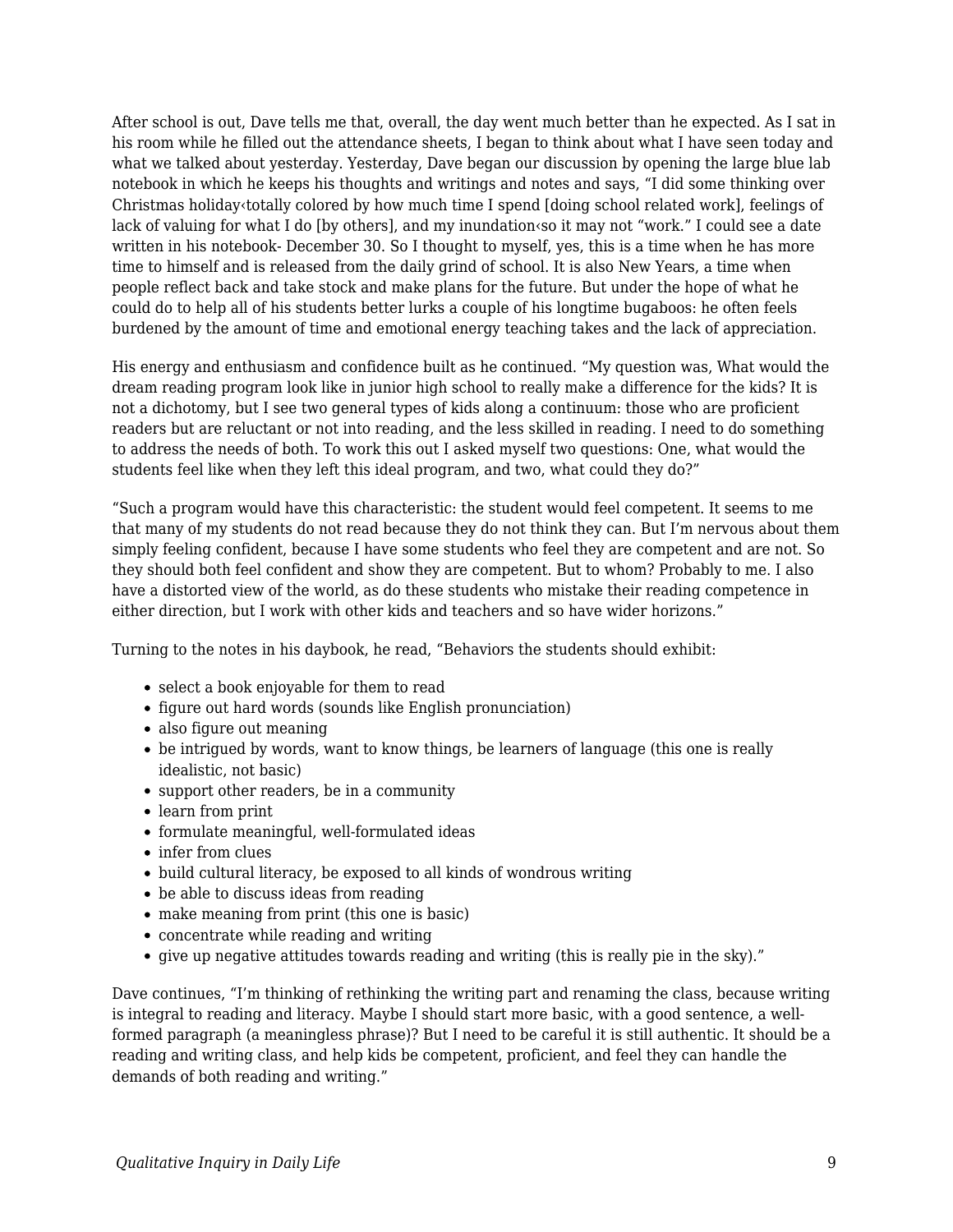After school is out, Dave tells me that, overall, the day went much better than he expected. As I sat in his room while he filled out the attendance sheets, I began to think about what I have seen today and what we talked about yesterday. Yesterday, Dave began our discussion by opening the large blue lab notebook in which he keeps his thoughts and writings and notes and says, "I did some thinking over Christmas holiday‹totally colored by how much time I spend [doing school related work], feelings of lack of valuing for what I do [by others], and my inundation so it may not "work." I could see a date written in his notebook- December 30. So I thought to myself, yes, this is a time when he has more time to himself and is released from the daily grind of school. It is also New Years, a time when people reflect back and take stock and make plans for the future. But under the hope of what he could do to help all of his students better lurks a couple of his longtime bugaboos: he often feels burdened by the amount of time and emotional energy teaching takes and the lack of appreciation.

His energy and enthusiasm and confidence built as he continued. "My question was, What would the dream reading program look like in junior high school to really make a difference for the kids? It is not a dichotomy, but I see two general types of kids along a continuum: those who are proficient readers but are reluctant or not into reading, and the less skilled in reading. I need to do something to address the needs of both. To work this out I asked myself two questions: One, what would the students feel like when they left this ideal program, and two, what could they do?"

"Such a program would have this characteristic: the student would feel competent. It seems to me that many of my students do not read because they do not think they can. But I'm nervous about them simply feeling confident, because I have some students who feel they are competent and are not. So they should both feel confident and show they are competent. But to whom? Probably to me. I also have a distorted view of the world, as do these students who mistake their reading competence in either direction, but I work with other kids and teachers and so have wider horizons."

Turning to the notes in his daybook, he read, "Behaviors the students should exhibit:

- select a book enjoyable for them to read
- figure out hard words (sounds like English pronunciation)
- also figure out meaning
- be intrigued by words, want to know things, be learners of language (this one is really idealistic, not basic)
- support other readers, be in a community
- learn from print
- formulate meaningful, well-formulated ideas
- infer from clues
- build cultural literacy, be exposed to all kinds of wondrous writing
- be able to discuss ideas from reading
- make meaning from print (this one is basic)
- concentrate while reading and writing
- give up negative attitudes towards reading and writing (this is really pie in the sky)."

Dave continues, "I'm thinking of rethinking the writing part and renaming the class, because writing is integral to reading and literacy. Maybe I should start more basic, with a good sentence, a wellformed paragraph (a meaningless phrase)? But I need to be careful it is still authentic. It should be a reading and writing class, and help kids be competent, proficient, and feel they can handle the demands of both reading and writing."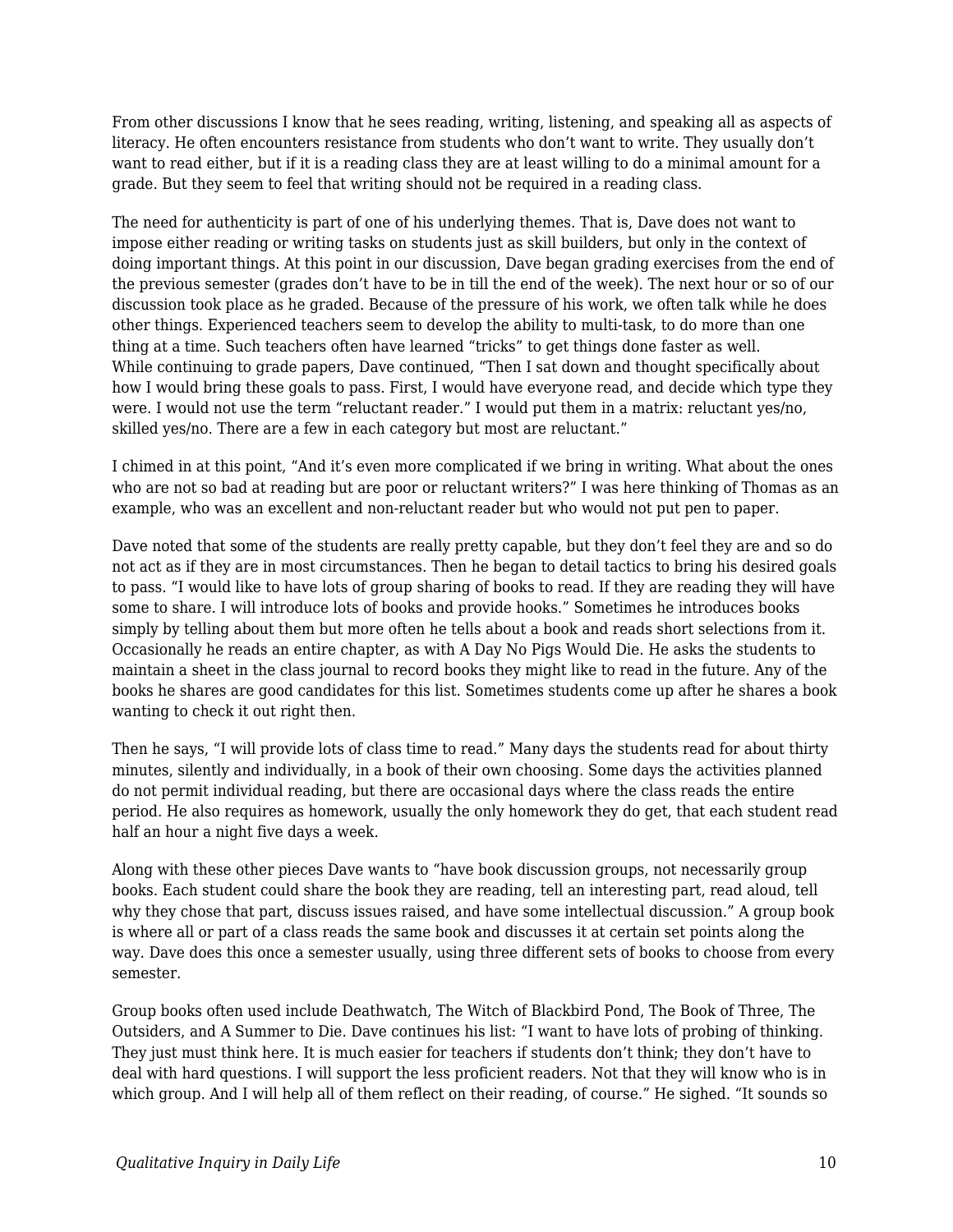From other discussions I know that he sees reading, writing, listening, and speaking all as aspects of literacy. He often encounters resistance from students who don't want to write. They usually don't want to read either, but if it is a reading class they are at least willing to do a minimal amount for a grade. But they seem to feel that writing should not be required in a reading class.

The need for authenticity is part of one of his underlying themes. That is, Dave does not want to impose either reading or writing tasks on students just as skill builders, but only in the context of doing important things. At this point in our discussion, Dave began grading exercises from the end of the previous semester (grades don't have to be in till the end of the week). The next hour or so of our discussion took place as he graded. Because of the pressure of his work, we often talk while he does other things. Experienced teachers seem to develop the ability to multi-task, to do more than one thing at a time. Such teachers often have learned "tricks" to get things done faster as well. While continuing to grade papers, Dave continued, "Then I sat down and thought specifically about how I would bring these goals to pass. First, I would have everyone read, and decide which type they were. I would not use the term "reluctant reader." I would put them in a matrix: reluctant yes/no, skilled yes/no. There are a few in each category but most are reluctant."

I chimed in at this point, "And it's even more complicated if we bring in writing. What about the ones who are not so bad at reading but are poor or reluctant writers?" I was here thinking of Thomas as an example, who was an excellent and non-reluctant reader but who would not put pen to paper.

Dave noted that some of the students are really pretty capable, but they don't feel they are and so do not act as if they are in most circumstances. Then he began to detail tactics to bring his desired goals to pass. "I would like to have lots of group sharing of books to read. If they are reading they will have some to share. I will introduce lots of books and provide hooks." Sometimes he introduces books simply by telling about them but more often he tells about a book and reads short selections from it. Occasionally he reads an entire chapter, as with A Day No Pigs Would Die. He asks the students to maintain a sheet in the class journal to record books they might like to read in the future. Any of the books he shares are good candidates for this list. Sometimes students come up after he shares a book wanting to check it out right then.

Then he says, "I will provide lots of class time to read." Many days the students read for about thirty minutes, silently and individually, in a book of their own choosing. Some days the activities planned do not permit individual reading, but there are occasional days where the class reads the entire period. He also requires as homework, usually the only homework they do get, that each student read half an hour a night five days a week.

Along with these other pieces Dave wants to "have book discussion groups, not necessarily group books. Each student could share the book they are reading, tell an interesting part, read aloud, tell why they chose that part, discuss issues raised, and have some intellectual discussion." A group book is where all or part of a class reads the same book and discusses it at certain set points along the way. Dave does this once a semester usually, using three different sets of books to choose from every semester.

Group books often used include Deathwatch, The Witch of Blackbird Pond, The Book of Three, The Outsiders, and A Summer to Die. Dave continues his list: "I want to have lots of probing of thinking. They just must think here. It is much easier for teachers if students don't think; they don't have to deal with hard questions. I will support the less proficient readers. Not that they will know who is in which group. And I will help all of them reflect on their reading, of course." He sighed. "It sounds so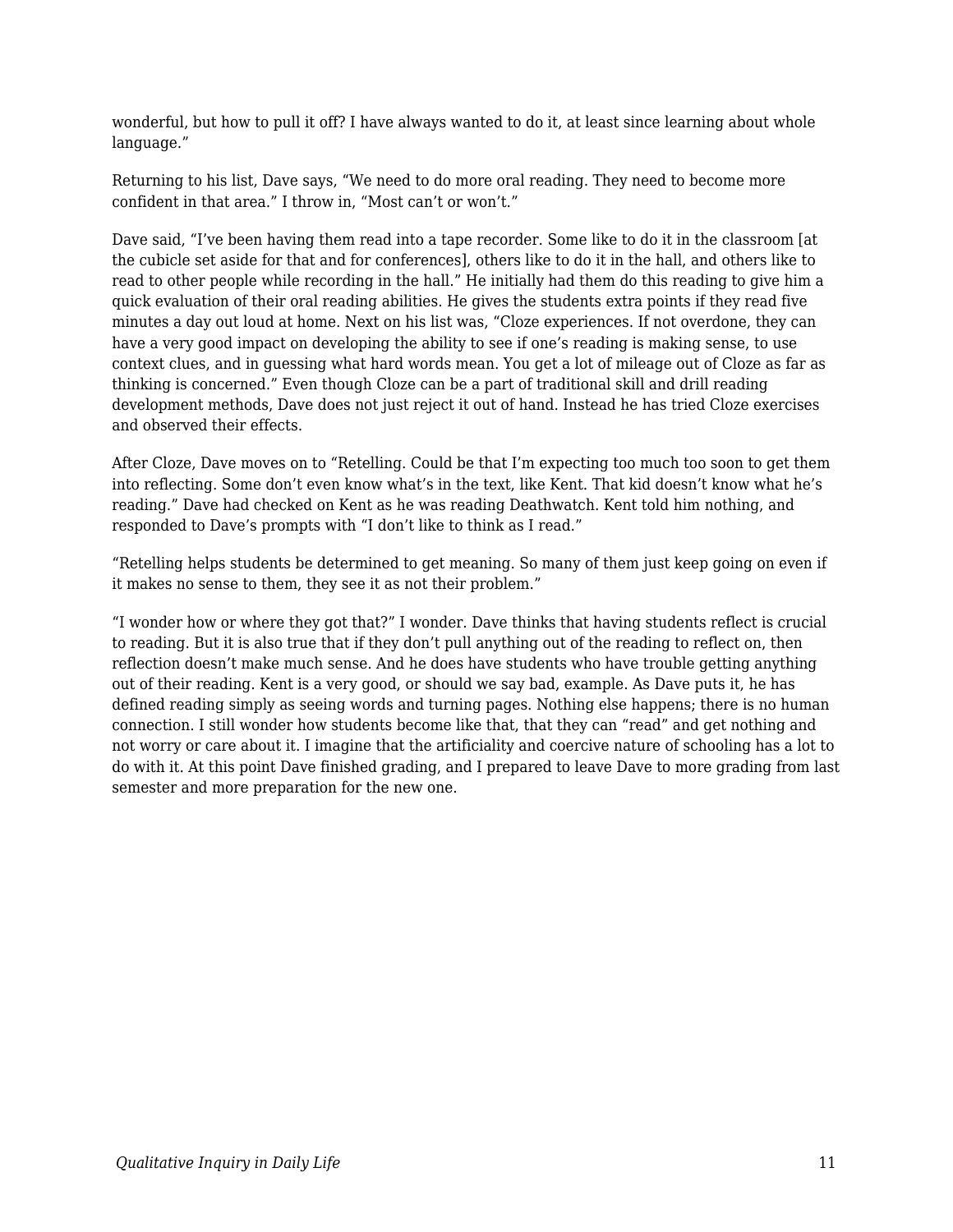wonderful, but how to pull it off? I have always wanted to do it, at least since learning about whole language."

Returning to his list, Dave says, "We need to do more oral reading. They need to become more confident in that area." I throw in, "Most can't or won't."

Dave said, "I've been having them read into a tape recorder. Some like to do it in the classroom [at the cubicle set aside for that and for conferences], others like to do it in the hall, and others like to read to other people while recording in the hall." He initially had them do this reading to give him a quick evaluation of their oral reading abilities. He gives the students extra points if they read five minutes a day out loud at home. Next on his list was, "Cloze experiences. If not overdone, they can have a very good impact on developing the ability to see if one's reading is making sense, to use context clues, and in guessing what hard words mean. You get a lot of mileage out of Cloze as far as thinking is concerned." Even though Cloze can be a part of traditional skill and drill reading development methods, Dave does not just reject it out of hand. Instead he has tried Cloze exercises and observed their effects.

After Cloze, Dave moves on to "Retelling. Could be that I'm expecting too much too soon to get them into reflecting. Some don't even know what's in the text, like Kent. That kid doesn't know what he's reading." Dave had checked on Kent as he was reading Deathwatch. Kent told him nothing, and responded to Dave's prompts with "I don't like to think as I read."

"Retelling helps students be determined to get meaning. So many of them just keep going on even if it makes no sense to them, they see it as not their problem."

"I wonder how or where they got that?" I wonder. Dave thinks that having students reflect is crucial to reading. But it is also true that if they don't pull anything out of the reading to reflect on, then reflection doesn't make much sense. And he does have students who have trouble getting anything out of their reading. Kent is a very good, or should we say bad, example. As Dave puts it, he has defined reading simply as seeing words and turning pages. Nothing else happens; there is no human connection. I still wonder how students become like that, that they can "read" and get nothing and not worry or care about it. I imagine that the artificiality and coercive nature of schooling has a lot to do with it. At this point Dave finished grading, and I prepared to leave Dave to more grading from last semester and more preparation for the new one.